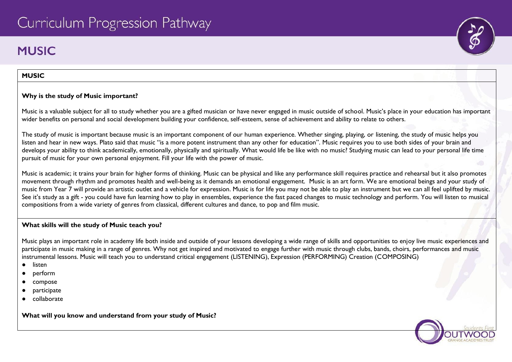# Curriculum Progression Pathway

# **MUSIC**

#### **MUSIC**

#### **Why is the study of Music important?**

Music is a valuable subject for all to study whether you are a gifted musician or have never engaged in music outside of school. Music's place in your education has important wider benefits on personal and social development building your confidence, self-esteem, sense of achievement and ability to relate to others.

The study of music is important because music is an important component of our human experience. Whether singing, playing, or listening, the study of music helps you listen and hear in new ways. Plato said that music "is a more potent instrument than any other for education". Music requires you to use both sides of your brain and develops your ability to think academically, emotionally, physically and spiritually. What would life be like with no music? Studying music can lead to your personal life time pursuit of music for your own personal enjoyment. Fill your life with the power of music.

Music is academic; it trains your brain for higher forms of thinking. Music can be physical and like any performance skill requires practice and rehearsal but it also promotes movement through rhythm and promotes health and well-being as it demands an emotional engagement. Music is an art form. We are emotional beings and your study of music from Year 7 will provide an artistic outlet and a vehicle for expression. Music is for life you may not be able to play an instrument but we can all feel uplifted by music. See it's study as a gift - you could have fun learning how to play in ensembles, experience the fast paced changes to music technology and perform. You will listen to musical compositions from a wide variety of genres from classical, different cultures and dance, to pop and film music.

#### **What skills will the study of Music teach you?**

Music plays an important role in academy life both inside and outside of your lessons developing a wide range of skills and opportunities to enjoy live music experiences and participate in music making in a range of genres. Why not get inspired and motivated to engage further with music through clubs, bands, choirs, performances and music instrumental lessons. Music will teach you to understand critical engagement (LISTENING), Expression (PERFORMING) Creation (COMPOSING)

- listen
- perform
- compose
- participate
- collaborate

**What will you know and understand from your study of Music?**

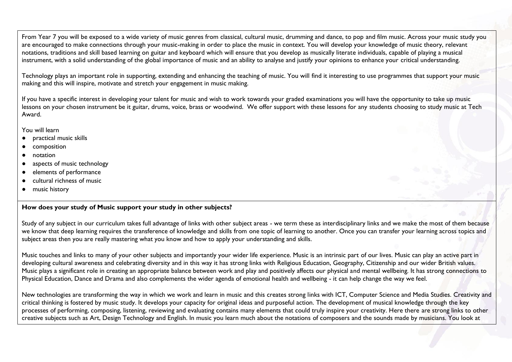From Year 7 you will be exposed to a wide variety of music genres from classical, cultural music, drumming and dance, to pop and film music. Across your music study you are encouraged to make connections through your music-making in order to place the music in context. You will develop your knowledge of music theory, relevant notations, traditions and skill based learning on guitar and keyboard which will ensure that you develop as musically literate individuals, capable of playing a musical instrument, with a solid understanding of the global importance of music and an ability to analyse and justify your opinions to enhance your critical understanding.

Technology plays an important role in supporting, extending and enhancing the teaching of music. You will find it interesting to use programmes that support your music making and this will inspire, motivate and stretch your engagement in music making.

If you have a specific interest in developing your talent for music and wish to work towards your graded examinations you will have the opportunity to take up music lessons on your chosen instrument be it guitar, drums, voice, brass or woodwind. We offer support with these lessons for any students choosing to study music at Tech Award.

You will learn

- practical music skills
- composition
- notation
- aspects of music technology
- elements of performance
- cultural richness of music
- music history

# **How does your study of Music support your study in other subjects?**

Study of any subject in our curriculum takes full advantage of links with other subject areas - we term these as interdisciplinary links and we make the most of them because we know that deep learning requires the transference of knowledge and skills from one topic of learning to another. Once you can transfer your learning across topics and subject areas then you are really mastering what you know and how to apply your understanding and skills.

Music touches and links to many of your other subjects and importantly your wider life experience. Music is an intrinsic part of our lives. Music can play an active part in developing cultural awareness and celebrating diversity and in this way it has strong links with Religious Education, Geography, Citizenship and our wider British values. Music plays a significant role in creating an appropriate balance between work and play and positively affects our physical and mental wellbeing. It has strong connections to Physical Education, Dance and Drama and also complements the wider agenda of emotional health and wellbeing - it can help change the way we feel.

New technologies are transforming the way in which we work and learn in music and this creates strong links with ICT, Computer Science and Media Studies. Creativity and critical thinking is fostered by music study. It develops your capacity for original ideas and purposeful action. The development of musical knowledge through the key processes of performing, composing, listening, reviewing and evaluating contains many elements that could truly inspire your creativity. Here there are strong links to other creative subjects such as Art, Design Technology and English. In music you learn much about the notations of composers and the sounds made by musicians. You look at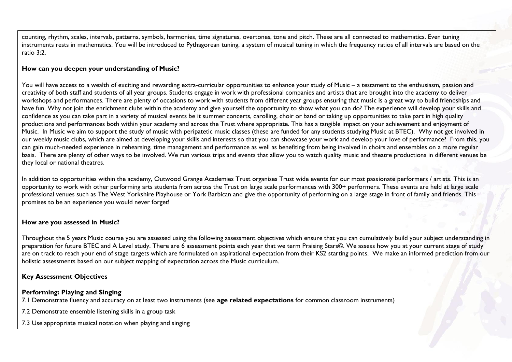counting, rhythm, scales, intervals, patterns, symbols, harmonies, time signatures, overtones, tone and pitch. These are all connected to mathematics. Even tuning instruments rests in mathematics. You will be introduced to Pythagorean tuning, a system of musical tuning in which the frequency ratios of all intervals are based on the ratio 3:2.

#### **How can you deepen your understanding of Music?**

You will have access to a wealth of exciting and rewarding extra-curricular opportunities to enhance your study of Music – a testament to the enthusiasm, passion and creativity of both staff and students of all year groups. Students engage in work with professional companies and artists that are brought into the academy to deliver workshops and performances. There are plenty of occasions to work with students from different year groups ensuring that music is a great way to build friendships and have fun. Why not join the enrichment clubs within the academy and give yourself the opportunity to show what you can do? The experience will develop your skills and confidence as you can take part in a variety of musical events be it summer concerts, carolling, choir or band or taking up opportunities to take part in high quality productions and performances both within your academy and across the Trust where appropriate. This has a tangible impact on your achievement and enjoyment of Music. In Music we aim to support the study of music with peripatetic music classes (these are funded for any students studying Music at BTEC). Why not get involved in our weekly music clubs, which are aimed at developing your skills and interests so that you can showcase your work and develop your love of performance? From this, you can gain much-needed experience in rehearsing, time management and performance as well as benefiting from being involved in choirs and ensembles on a more regular basis. There are plenty of other ways to be involved. We run various trips and events that allow you to watch quality music and theatre productions in different venues be they local or national theatres.

In addition to opportunities within the academy, Outwood Grange Academies Trust organises Trust wide events for our most passionate performers / artists. This is an opportunity to work with other performing arts students from across the Trust on large scale performances with 300+ performers. These events are held at large scale professional venues such as The West Yorkshire Playhouse or York Barbican and give the opportunity of performing on a large stage in front of family and friends. This promises to be an experience you would never forget!

#### **How are you assessed in Music?**

Throughout the 5 years Music course you are assessed using the following assessment objectives which ensure that you can cumulatively build your subject understanding in preparation for future BTEC and A Level study. There are 6 assessment points each year that we term Praising Stars©. We assess how you at your current stage of study are on track to reach your end of stage targets which are formulated on aspirational expectation from their KS2 starting points. We make an informed prediction from our holistic assessments based on our subject mapping of expectation across the Music curriculum.

#### **Key Assessment Objectives**

#### **Performing: Playing and Singing**

7.1 Demonstrate fluency and accuracy on at least two instruments (see **age related expectations** for common classroom instruments)

7.2 Demonstrate ensemble listening skills in a group task

7.3 Use appropriate musical notation when playing and singing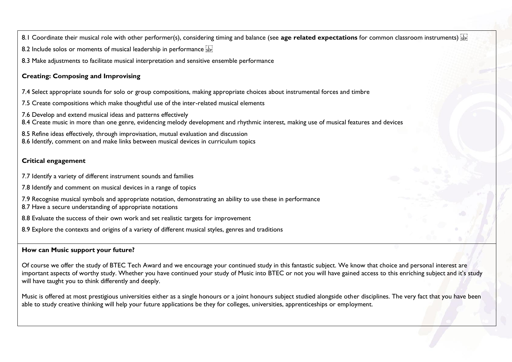8.1 Coordinate their musical role with other performer(s), considering timing and balance (see **age related expectations** for common classroom instruments)

8.2 Include solos or moments of musical leadership in performance steel

8.3 Make adjustments to facilitate musical interpretation and sensitive ensemble performance

# **Creating: Composing and Improvising**

7.4 Select appropriate sounds for solo or group compositions, making appropriate choices about instrumental forces and timbre

7.5 Create compositions which make thoughtful use of the inter-related musical elements

7.6 Develop and extend musical ideas and patterns effectively

8.4 Create music in more than one genre, evidencing melody development and rhythmic interest, making use of musical features and devices

8.5 Refine ideas effectively, through improvisation, mutual evaluation and discussion

8.6 Identify, comment on and make links between musical devices in curriculum topics

# **Critical engagement**

7.7 Identify a variety of different instrument sounds and families

7.8 Identify and comment on musical devices in a range of topics

7.9 Recognise musical symbols and appropriate notation, demonstrating an ability to use these in performance

8.7 Have a secure understanding of appropriate notations

8.8 Evaluate the success of their own work and set realistic targets for improvement

8.9 Explore the contexts and origins of a variety of different musical styles, genres and traditions

# **How can Music support your future?**

Of course we offer the study of BTEC Tech Award and we encourage your continued study in this fantastic subject. We know that choice and personal interest are important aspects of worthy study. Whether you have continued your study of Music into BTEC or not you will have gained access to this enriching subject and it's study will have taught you to think differently and deeply.

Music is offered at most prestigious universities either as a single honours or a joint honours subject studied alongside other disciplines. The very fact that you have been able to study creative thinking will help your future applications be they for colleges, universities, apprenticeships or employment.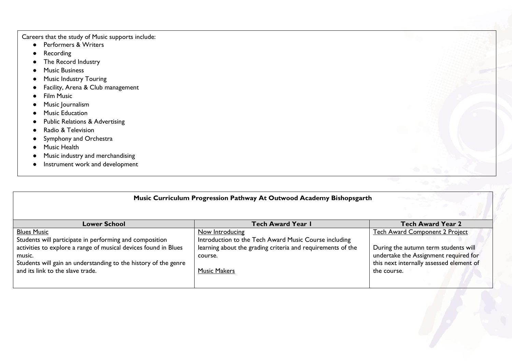Careers that the study of Music supports include:

- [Performers & Writers](https://www.careersinmusic.com/music-performing-writing-careers/)
- **[Recording](https://www.careersinmusic.com/music-recording-careers/)**
- [The Record Industry](https://www.careersinmusic.com/record-industry-careers/)
- [Music Business](https://www.careersinmusic.com/music-business-careers/)
- [Music Industry Touring](https://www.careersinmusic.com/music-industry-touring-careers/)
- [Facility, Arena & Club](https://www.careersinmusic.com/facility-arena-club-careers/) management
- [Film Music](https://www.careersinmusic.com/film-music-careers/)
- [Music Journalism](https://www.careersinmusic.com/music-journalism-careers/)
- [Music Education](https://www.careersinmusic.com/music-education-careers/)
- [Public Relations & Advertising](https://www.careersinmusic.com/music-public-relations-advertising-careers/)
- [Radio & Television](https://www.careersinmusic.com/radio-television-careers/)
- [Symphony and Orchestra](https://www.careersinmusic.com/symphony-orchestra-opera-careers/)
- Music Health
- Music industry and merchandising
- Instrument work and development

# **Music Curriculum Progression Pathway At Outwood Academy Bishopsgarth**

| <b>Lower School</b>                                                                                                                                                                                                                                               | <b>Tech Award Year I</b>                                                                                                                                                  | <b>Tech Award Year 2</b>                                                                                                                                                          |
|-------------------------------------------------------------------------------------------------------------------------------------------------------------------------------------------------------------------------------------------------------------------|---------------------------------------------------------------------------------------------------------------------------------------------------------------------------|-----------------------------------------------------------------------------------------------------------------------------------------------------------------------------------|
| <b>Blues Music</b><br>Students will participate in performing and composition<br>activities to explore a range of musical devices found in Blues<br>music.<br>Students will gain an understanding to the history of the genre<br>and its link to the slave trade. | Now Introducing<br>Introduction to the Tech Award Music Course including<br>learning about the grading criteria and requirements of the<br>course.<br><b>Music Makers</b> | <b>Tech Award Component 2 Project</b><br>During the autumn term students will<br>undertake the Assignment required for<br>this next internally assessed element of<br>the course. |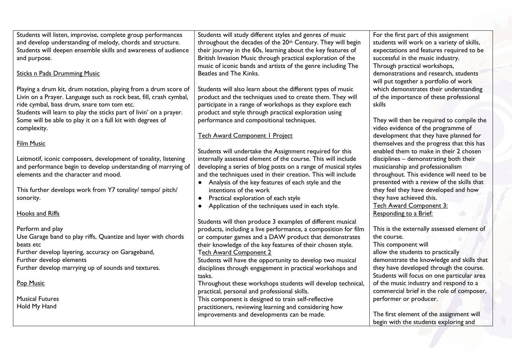| Students will listen, improvise, complete group performances       | Students will study different styles and genres of music                               | For the first part of this assignment                                                  |
|--------------------------------------------------------------------|----------------------------------------------------------------------------------------|----------------------------------------------------------------------------------------|
| and develop understanding of melody, chords and structure.         | throughout the decades of the 20 <sup>th</sup> Century. They will begin                | students will work on a variety of skills,<br>expectations and features required to be |
| Students will deepen ensemble skills and awareness of audience     | their journey in the 60s, learning about the key features of                           |                                                                                        |
| and purpose.                                                       | British Invasion Music through practical exploration of the                            | successful in the music industry.                                                      |
|                                                                    | music of iconic bands and artists of the genre including The<br>Beatles and The Kinks. | Through practical workshops,                                                           |
| <b>Sticks n Pads Drumming Music</b>                                |                                                                                        | demonstrations and research, students                                                  |
|                                                                    |                                                                                        | will put together a portfolio of work                                                  |
| Playing a drum kit, drum notation, playing from a drum score of    | Students will also learn about the different types of music                            | which demonstrates their understanding                                                 |
| Livin on a Prayer. Language such as rock beat, fill, crash cymbal, | product and the techniques used to create them. They will                              | of the importance of these professional                                                |
| ride cymbal, bass drum, snare tom tom etc.                         | participate in a range of workshops as they explore each                               | skills                                                                                 |
| Students will learn to play the sticks part of livin' on a prayer. | product and style through practical exploration using                                  |                                                                                        |
| Some will be able to play it on a full kit with degrees of         | performance and compositional techniques.                                              | They will then be required to compile the                                              |
| complexity.                                                        |                                                                                        | video evidence of the programme of                                                     |
|                                                                    | Tech Award Component   Project                                                         | development that they have planned for                                                 |
| <b>Film Music</b>                                                  |                                                                                        | themselves and the progress that this has                                              |
|                                                                    | Students will undertake the Assignment required for this                               | enabled them to make in their 2 chosen                                                 |
| Leitmotif, iconic composers, development of tonality, listening    | internally assessed element of the course. This will include                           | disciplines - demonstrating both their                                                 |
| and performance begin to develop understanding of marrying of      | developing a series of blog posts on a range of musical styles                         | musicianship and professionalism                                                       |
| elements and the character and mood.                               | and the techniques used in their creation. This will include                           | throughout. This evidence will need to be                                              |
|                                                                    | Analysis of the key features of each style and the                                     | presented with a review of the skills that                                             |
| This further develops work from Y7 tonality/ tempo/ pitch/         | intentions of the work                                                                 | they feel they have developed and how                                                  |
| sonority.                                                          | Practical exploration of each style                                                    | they have achieved this.                                                               |
|                                                                    | Application of the techniques used in each style.                                      | <b>Tech Award Component 3:</b>                                                         |
| <b>Hooks and Riffs</b>                                             |                                                                                        | Responding to a Brief:                                                                 |
|                                                                    | Students will then produce 3 examples of different musical                             |                                                                                        |
| Perform and play                                                   | products, including a live performance, a composition for film                         | This is the externally assessed element of                                             |
| Use Garage band to play riffs, Quantize and layer with chords      | or computer games and a DAW product that demonstrates                                  | the course.                                                                            |
| beats etc                                                          | their knowledge of the key features of their chosen style.                             | This component will                                                                    |
| Further develop layering, accuracy on Garageband,                  | <b>Tech Award Component 2</b>                                                          | allow the students to practically                                                      |
| Further develop elements                                           | Students will have the opportunity to develop two musical                              | demonstrate the knowledge and skills that                                              |
| Further develop marrying up of sounds and textures.                | disciplines through engagement in practical workshops and                              | they have developed through the course.                                                |
|                                                                    | tasks.                                                                                 | Students will focus on one particular area                                             |
| Pop Music                                                          | Throughout these workshops students will develop technical,                            | of the music industry and respond to a                                                 |
|                                                                    | practical, personal and professional skills.                                           | commercial brief in the role of composer,                                              |
| <b>Musical Futures</b>                                             | This component is designed to train self-reflective                                    | performer or producer.                                                                 |
| Hold My Hand                                                       | practitioners, reviewing learning and considering how                                  |                                                                                        |
|                                                                    | improvements and developments can be made.                                             | The first element of the assignment will                                               |
|                                                                    |                                                                                        | begin with the students exploring and                                                  |